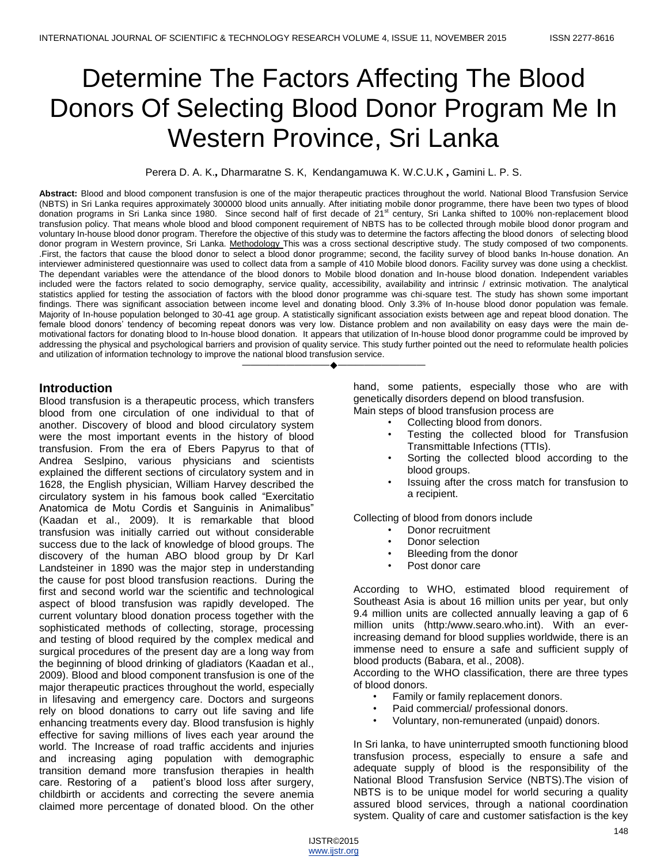# Determine The Factors Affecting The Blood Donors Of Selecting Blood Donor Program Me In Western Province, Sri Lanka

Perera D. A. K.*,* Dharmaratne S. K, Kendangamuwa K. W.C.U.K *,* Gamini L. P. S.

**Abstract:** Blood and blood component transfusion is one of the major therapeutic practices throughout the world. National Blood Transfusion Service (NBTS) in Sri Lanka requires approximately 300000 blood units annually. After initiating mobile donor programme, there have been two types of blood donation programs in Sri Lanka since 1980. Since second half of first decade of 21<sup>st</sup> century, Sri Lanka shifted to 100% non-replacement blood transfusion policy. That means whole blood and blood component requirement of NBTS has to be collected through mobile blood donor program and voluntary In-house blood donor program. Therefore the objective of this study was to determine the factors affecting the blood donors of selecting blood donor program in Western province, Sri Lanka. Methodology This was a cross sectional descriptive study. The study composed of two components. .First, the factors that cause the blood donor to select a blood donor programme; second, the facility survey of blood banks In-house donation. An interviewer administered questionnaire was used to collect data from a sample of 410 Mobile blood donors. Facility survey was done using a checklist. The dependant variables were the attendance of the blood donors to Mobile blood donation and In-house blood donation. Independent variables included were the factors related to socio demography, service quality, accessibility, availability and intrinsic / extrinsic motivation. The analytical statistics applied for testing the association of factors with the blood donor programme was chi-square test. The study has shown some important findings. There was significant association between income level and donating blood. Only 3.3% of In-house blood donor population was female. Majority of In-house population belonged to 30-41 age group. A statistically significant association exists between age and repeat blood donation. The female blood donors' tendency of becoming repeat donors was very low. Distance problem and non availability on easy days were the main demotivational factors for donating blood to In-house blood donation. It appears that utilization of In-house blood donor programme could be improved by addressing the physical and psychological barriers and provision of quality service. This study further pointed out the need to reformulate health policies and utilization of information technology to improve the national blood transfusion service.

————————————————————

# **Introduction**

Blood transfusion is a therapeutic process, which transfers blood from one circulation of one individual to that of another. Discovery of blood and blood circulatory system were the most important events in the history of blood transfusion. From the era of Ebers Papyrus to that of Andrea Seslpino, various physicians and scientists explained the different sections of circulatory system and in 1628, the English physician, William Harvey described the circulatory system in his famous book called "Exercitatio Anatomica de Motu Cordis et Sanguinis in Animalibus" (Kaadan et al., 2009). It is remarkable that blood transfusion was initially carried out without considerable success due to the lack of knowledge of blood groups. The discovery of the human ABO blood group by Dr Karl Landsteiner in 1890 was the major step in understanding the cause for post blood transfusion reactions. During the first and second world war the scientific and technological aspect of blood transfusion was rapidly developed. The current voluntary blood donation process together with the sophisticated methods of collecting, storage, processing and testing of blood required by the complex medical and surgical procedures of the present day are a long way from the beginning of blood drinking of gladiators (Kaadan et al., 2009). Blood and blood component transfusion is one of the major therapeutic practices throughout the world, especially in lifesaving and emergency care. Doctors and surgeons rely on blood donations to carry out life saving and life enhancing treatments every day. Blood transfusion is highly effective for saving millions of lives each year around the world. The Increase of road traffic accidents and injuries and increasing aging population with demographic transition demand more transfusion therapies in health care. Restoring of a patient's blood loss after surgery, childbirth or accidents and correcting the severe anemia claimed more percentage of donated blood. On the other

hand, some patients, especially those who are with genetically disorders depend on blood transfusion. Main steps of blood transfusion process are

- Collecting blood from donors.
- Testing the collected blood for Transfusion Transmittable Infections (TTIs).
- Sorting the collected blood according to the blood groups.
- Issuing after the cross match for transfusion to a recipient.

Collecting of blood from donors include

- Donor recruitment
- Donor selection
- Bleeding from the donor
- Post donor care

According to WHO, estimated blood requirement of Southeast Asia is about 16 million units per year, but only 9.4 million units are collected annually leaving a gap of 6 million units [\(http:/www.searo.who.int\).]((http:/www.searo.who.int)) With an everincreasing demand for blood supplies worldwide, there is an immense need to ensure a safe and sufficient supply of blood products (Babara, et al., 2008).

According to the WHO classification, there are three types of blood donors.

- Family or family replacement donors.
- Paid commercial/ professional donors.
- Voluntary, non-remunerated (unpaid) donors.

In Sri lanka, to have uninterrupted smooth functioning blood transfusion process, especially to ensure a safe and adequate supply of blood is the responsibility of the National Blood Transfusion Service (NBTS).The vision of NBTS is to be unique model for world securing a quality assured blood services, through a national coordination system. Quality of care and customer satisfaction is the key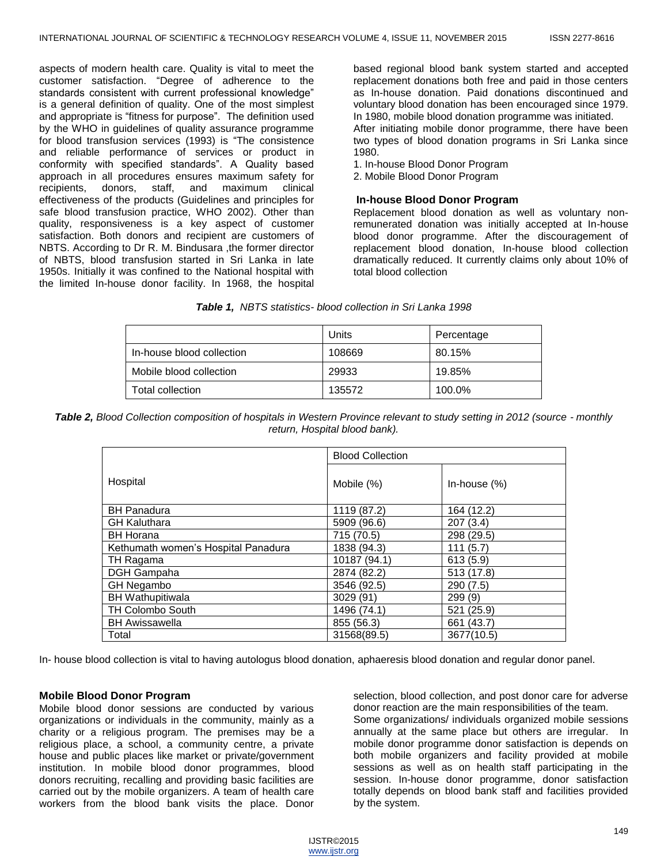aspects of modern health care. Quality is vital to meet the customer satisfaction. "Degree of adherence to the standards consistent with current professional knowledge" is a general definition of quality. One of the most simplest and appropriate is "fitness for purpose". The definition used by the WHO in guidelines of quality assurance programme for blood transfusion services (1993) is "The consistence and reliable performance of services or product in conformity with specified standards". A Quality based approach in all procedures ensures maximum safety for recipients, donors, staff, and maximum clinical effectiveness of the products (Guidelines and principles for safe blood transfusion practice, WHO 2002). Other than quality, responsiveness is a key aspect of customer satisfaction. Both donors and recipient are customers of NBTS. According to Dr R. M. Bindusara ,the former director of NBTS, blood transfusion started in Sri Lanka in late 1950s. Initially it was confined to the National hospital with the limited In-house donor facility. In 1968, the hospital based regional blood bank system started and accepted replacement donations both free and paid in those centers as In-house donation. Paid donations discontinued and voluntary blood donation has been encouraged since 1979. In 1980, mobile blood donation programme was initiated.

After initiating mobile donor programme, there have been two types of blood donation programs in Sri Lanka since 1980.

1. In-house Blood Donor Program

2. Mobile Blood Donor Program

#### **In-house Blood Donor Program**

Replacement blood donation as well as voluntary nonremunerated donation was initially accepted at In-house blood donor programme. After the discouragement of replacement blood donation, In-house blood collection dramatically reduced. It currently claims only about 10% of total blood collection

|  |  | <b>Table 1, NBTS statistics- blood collection in Sri Lanka 1998</b> |  |  |  |  |  |
|--|--|---------------------------------------------------------------------|--|--|--|--|--|
|--|--|---------------------------------------------------------------------|--|--|--|--|--|

|                           | Units  | Percentage |
|---------------------------|--------|------------|
| In-house blood collection | 108669 | 80.15%     |
| Mobile blood collection   | 29933  | 19.85%     |
| Total collection          | 135572 | 100.0%     |

*Table 2, Blood Collection composition of hospitals in Western Province relevant to study setting in 2012 (source - monthly return, Hospital blood bank).*

|                                     | <b>Blood Collection</b> |                 |  |
|-------------------------------------|-------------------------|-----------------|--|
| Hospital                            | Mobile (%)              | In-house $(\%)$ |  |
| <b>BH Panadura</b>                  | 1119 (87.2)             | 164 (12.2)      |  |
| <b>GH Kaluthara</b>                 | 5909 (96.6)             | 207(3.4)        |  |
| <b>BH Horana</b>                    | 715 (70.5)              | 298 (29.5)      |  |
| Kethumath women's Hospital Panadura | 1838 (94.3)             | 111(5.7)        |  |
| TH Ragama                           | 10187 (94.1)            | 613(5.9)        |  |
| DGH Gampaha                         | 2874 (82.2)             | 513 (17.8)      |  |
| <b>GH Negambo</b>                   | 3546 (92.5)             | 290 (7.5)       |  |
| <b>BH Wathupitiwala</b>             | 3029 (91)               | 299(9)          |  |
| <b>TH Colombo South</b>             | 1496 (74.1)             | 521 (25.9)      |  |
| <b>BH Awissawella</b>               | 855 (56.3)              | 661 (43.7)      |  |
| Total                               | 31568(89.5)             | 3677(10.5)      |  |

In- house blood collection is vital to having autologus blood donation, aphaeresis blood donation and regular donor panel.

#### **Mobile Blood Donor Program**

Mobile blood donor sessions are conducted by various organizations or individuals in the community, mainly as a charity or a religious program. The premises may be a religious place, a school, a community centre, a private house and public places like market or private/government institution. In mobile blood donor programmes, blood donors recruiting, recalling and providing basic facilities are carried out by the mobile organizers. A team of health care workers from the blood bank visits the place. Donor

selection, blood collection, and post donor care for adverse donor reaction are the main responsibilities of the team. Some organizations/ individuals organized mobile sessions annually at the same place but others are irregular. In mobile donor programme donor satisfaction is depends on both mobile organizers and facility provided at mobile sessions as well as on health staff participating in the session. In-house donor programme, donor satisfaction totally depends on blood bank staff and facilities provided by the system.

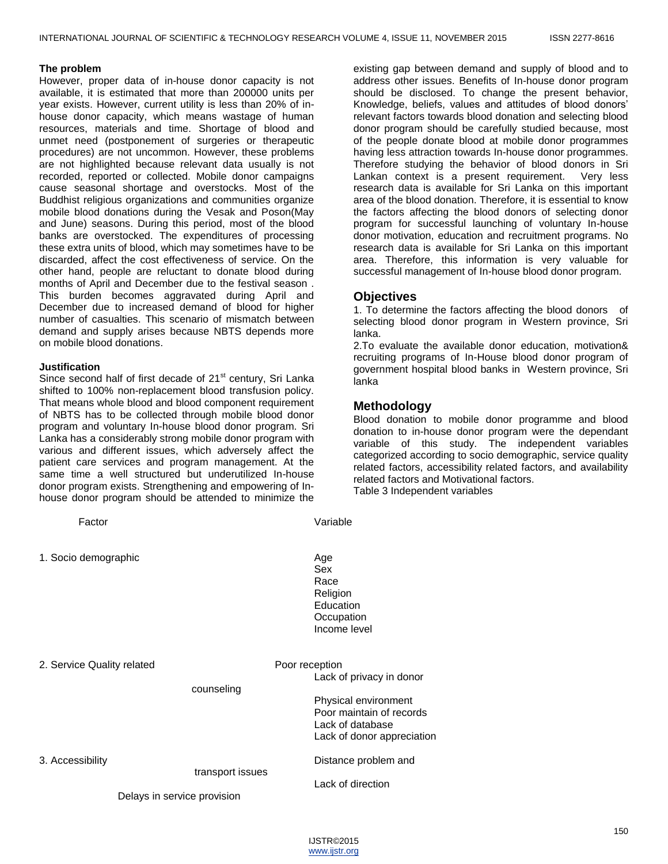#### **The problem**

However, proper data of in-house donor capacity is not available, it is estimated that more than 200000 units per year exists. However, current utility is less than 20% of inhouse donor capacity, which means wastage of human resources, materials and time. Shortage of blood and unmet need (postponement of surgeries or therapeutic procedures) are not uncommon. However, these problems are not highlighted because relevant data usually is not recorded, reported or collected. Mobile donor campaigns cause seasonal shortage and overstocks. Most of the Buddhist religious organizations and communities organize mobile blood donations during the Vesak and Poson(May and June) seasons. During this period, most of the blood banks are overstocked. The expenditures of processing these extra units of blood, which may sometimes have to be discarded, affect the cost effectiveness of service. On the other hand, people are reluctant to donate blood during months of April and December due to the festival season . This burden becomes aggravated during April and December due to increased demand of blood for higher number of casualties. This scenario of mismatch between demand and supply arises because NBTS depends more on mobile blood donations.

#### **Justification**

Since second half of first decade of 21<sup>st</sup> century, Sri Lanka shifted to 100% non-replacement blood transfusion policy. That means whole blood and blood component requirement of NBTS has to be collected through mobile blood donor program and voluntary In-house blood donor program. Sri Lanka has a considerably strong mobile donor program with various and different issues, which adversely affect the patient care services and program management. At the same time a well structured but underutilized In-house donor program exists. Strengthening and empowering of Inhouse donor program should be attended to minimize the

| or not of the collected unough mobile blood donor<br>program and voluntary In-house blood donor program. Sri<br>Lanka has a considerably strong mobile donor program with<br>various and different issues, which adversely affect the<br>patient care services and program management. At the<br>same time a well structured but underutilized In-house<br>donor program exists. Strengthening and empowering of In-<br>house donor program should be attended to minimize the |                  | Blood donation to mobile donor<br>donation to in-house donor prograr<br>variable<br>of this study.<br>categorized according to socio demo<br>related factors, accessibility related<br>related factors and Motivational facto<br>Table 3 Independent variables |                                                                                                                                |  |
|--------------------------------------------------------------------------------------------------------------------------------------------------------------------------------------------------------------------------------------------------------------------------------------------------------------------------------------------------------------------------------------------------------------------------------------------------------------------------------|------------------|----------------------------------------------------------------------------------------------------------------------------------------------------------------------------------------------------------------------------------------------------------------|--------------------------------------------------------------------------------------------------------------------------------|--|
| Factor                                                                                                                                                                                                                                                                                                                                                                                                                                                                         |                  | Variable                                                                                                                                                                                                                                                       |                                                                                                                                |  |
| 1. Socio demographic                                                                                                                                                                                                                                                                                                                                                                                                                                                           |                  | Age<br>Sex<br>Race<br>Religion<br>Education<br>Occupation<br>Income level                                                                                                                                                                                      |                                                                                                                                |  |
| 2. Service Quality related                                                                                                                                                                                                                                                                                                                                                                                                                                                     | counseling       | Poor reception                                                                                                                                                                                                                                                 | Lack of privacy in donor<br>Physical environment<br>Poor maintain of records<br>Lack of database<br>Lack of donor appreciation |  |
| 3. Accessibility                                                                                                                                                                                                                                                                                                                                                                                                                                                               | transport issues |                                                                                                                                                                                                                                                                | Distance problem and<br>Lack of direction                                                                                      |  |
| Delays in service provision                                                                                                                                                                                                                                                                                                                                                                                                                                                    |                  |                                                                                                                                                                                                                                                                |                                                                                                                                |  |

existing gap between demand and supply of blood and to address other issues. Benefits of In-house donor program should be disclosed. To change the present behavior, Knowledge, beliefs, values and attitudes of blood donors' relevant factors towards blood donation and selecting blood donor program should be carefully studied because, most of the people donate blood at mobile donor programmes having less attraction towards In-house donor programmes. Therefore studying the behavior of blood donors in Sri Lankan context is a present requirement. Very less research data is available for Sri Lanka on this important area of the blood donation. Therefore, it is essential to know the factors affecting the blood donors of selecting donor program for successful launching of voluntary In-house donor motivation, education and recruitment programs. No research data is available for Sri Lanka on this important area. Therefore, this information is very valuable for successful management of In-house blood donor program.

# **Objectives**

1. To determine the factors affecting the blood donors of selecting blood donor program in Western province, Sri lanka.

2.To evaluate the available donor education, motivation& recruiting programs of In-House blood donor program of government hospital blood banks in Western province, Sri lanka

# **Methodology**

programme and blood m were the dependant independent variables ographic, service quality factors, and availability related factors and Motivational factors.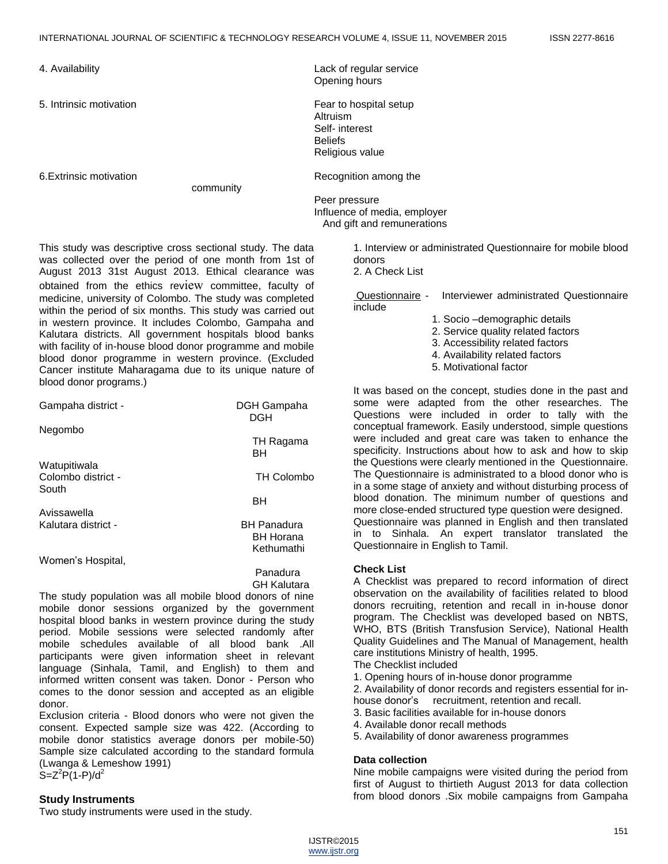4. Availability Lack of regular service

community

5. Intrinsic motivation **Fear** to hospital setup Altruism Self- interest **Beliefs** Religious value 6.Extrinsic motivation **Recognition Recognition** among the

Opening hours

Peer pressure Influence of media, employer And gift and remunerations

This study was descriptive cross sectional study. The data was collected over the period of one month from 1st of August 2013 31st August 2013. Ethical clearance was obtained from the ethics review committee, faculty of medicine, university of Colombo. The study was completed within the period of six months. This study was carried out in western province. It includes Colombo, Gampaha and Kalutara districts. All government hospitals blood banks with facility of in-house blood donor programme and mobile blood donor programme in western province. (Excluded Cancer institute Maharagama due to its unique nature of blood donor programs.)

| Gampaha district -          | DGH Gampaha<br>DGH |
|-----------------------------|--------------------|
| Negombo                     |                    |
|                             | TH Ragama<br>BН    |
| Watupitiwala                |                    |
| Colombo district -<br>South | <b>TH Colombo</b>  |
|                             | BН                 |
| Avissawella                 |                    |
| Kalutara district -         | <b>BH Panadura</b> |
|                             | <b>BH Horana</b>   |
|                             | Kethumathi         |
| Women's Hospital,           |                    |
|                             | Panadura           |
|                             | GH Kalutara        |

The study population was all mobile blood donors of nine mobile donor sessions organized by the government hospital blood banks in western province during the study period. Mobile sessions were selected randomly after mobile schedules available of all blood bank .All participants were given information sheet in relevant language (Sinhala, Tamil, and English) to them and informed written consent was taken. Donor - Person who comes to the donor session and accepted as an eligible donor.

Exclusion criteria - Blood donors who were not given the consent. Expected sample size was 422. (According to mobile donor statistics average donors per mobile-50) Sample size calculated according to the standard formula (Lwanga & Lemeshow 1991)  $S = Z^2P(1-P)/d^2$ 

#### **Study Instruments**

Two study instruments were used in the study.

1. Interview or administrated Questionnaire for mobile blood donors

2. A Check List

Questionnaire - Interviewer administrated Questionnaire include

- 1. Socio –demographic details
- 2. Service quality related factors
- 3. Accessibility related factors
- 4. Availability related factors
- 5. Motivational factor

It was based on the concept, studies done in the past and some were adapted from the other researches. The Questions were included in order to tally with the conceptual framework. Easily understood, simple questions were included and great care was taken to enhance the specificity. Instructions about how to ask and how to skip the Questions were clearly mentioned in the Questionnaire. The Questionnaire is administrated to a blood donor who is in a some stage of anxiety and without disturbing process of blood donation. The minimum number of questions and more close-ended structured type question were designed. Questionnaire was planned in English and then translated in to Sinhala. An expert translator translated the Questionnaire in English to Tamil.

#### **Check List**

A Checklist was prepared to record information of direct observation on the availability of facilities related to blood donors recruiting, retention and recall in in-house donor program. The Checklist was developed based on NBTS, WHO, BTS (British Transfusion Service), National Health Quality Guidelines and The Manual of Management, health care institutions Ministry of health, 1995.

- The Checklist included
- 1. Opening hours of in-house donor programme
- 2. Availability of donor records and registers essential for in-
- house donor's recruitment, retention and recall.
- 3. Basic facilities available for in-house donors
- 4. Available donor recall methods
- 5. Availability of donor awareness programmes

#### **Data collection**

Nine mobile campaigns were visited during the period from first of August to thirtieth August 2013 for data collection from blood donors .Six mobile campaigns from Gampaha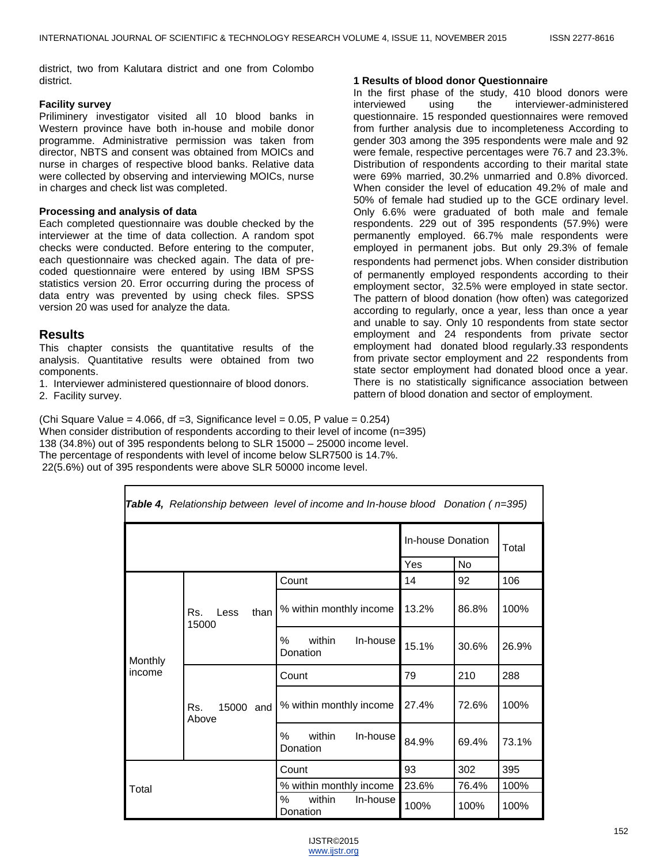district, two from Kalutara district and one from Colombo district.

#### **Facility survey**

Priliminery investigator visited all 10 blood banks in Western province have both in-house and mobile donor programme. Administrative permission was taken from director, NBTS and consent was obtained from MOICs and nurse in charges of respective blood banks. Relative data were collected by observing and interviewing MOICs, nurse in charges and check list was completed.

#### **Processing and analysis of data**

Each completed questionnaire was double checked by the interviewer at the time of data collection. A random spot checks were conducted. Before entering to the computer, each questionnaire was checked again. The data of precoded questionnaire were entered by using IBM SPSS statistics version 20. Error occurring during the process of data entry was prevented by using check files. SPSS version 20 was used for analyze the data.

# **Results**

This chapter consists the quantitative results of the analysis. Quantitative results were obtained from two components.

1. Interviewer administered questionnaire of blood donors.

2. Facility survey.

#### **1 Results of blood donor Questionnaire**

In the first phase of the study, 410 blood donors were interviewed using the interviewer-administered interviewed using the interviewer-administered questionnaire. 15 responded questionnaires were removed from further analysis due to incompleteness According to gender 303 among the 395 respondents were male and 92 were female, respective percentages were 76.7 and 23.3%. Distribution of respondents according to their marital state were 69% married, 30.2% unmarried and 0.8% divorced. When consider the level of education 49.2% of male and 50% of female had studied up to the GCE ordinary level. Only 6.6% were graduated of both male and female respondents. 229 out of 395 respondents (57.9%) were permanently employed. 66.7% male respondents were employed in permanent jobs. But only 29.3% of female respondents had permenet jobs. When consider distribution of permanently employed respondents according to their employment sector, 32.5% were employed in state sector. The pattern of blood donation (how often) was categorized according to regularly, once a year, less than once a year and unable to say. Only 10 respondents from state sector employment and 24 respondents from private sector employment had donated blood regularly.33 respondents from private sector employment and 22 respondents from state sector employment had donated blood once a year. There is no statistically significance association between pattern of blood donation and sector of employment.

(Chi Square Value =  $4.066$ , df = 3, Significance level =  $0.05$ , P value =  $0.254$ ) When consider distribution of respondents according to their level of income (n=395) 138 (34.8%) out of 395 respondents belong to SLR 15000 – 25000 income level. The percentage of respondents with level of income below SLR7500 is 14.7%. 22(5.6%) out of 395 respondents were above SLR 50000 income level.

| <b>Table 4,</b> Relationship between level of income and In-house blood Donation ( $n=395$ ) |                              |                                        |       |       |       |  |  |  |
|----------------------------------------------------------------------------------------------|------------------------------|----------------------------------------|-------|-------|-------|--|--|--|
|                                                                                              | In-house Donation<br>Total   |                                        |       |       |       |  |  |  |
|                                                                                              |                              |                                        | Yes   | No    |       |  |  |  |
|                                                                                              |                              | Count                                  | 14    | 92    | 106   |  |  |  |
|                                                                                              | than<br>Rs.<br>Less<br>15000 | % within monthly income                | 13.2% | 86.8% | 100%  |  |  |  |
| Monthly                                                                                      |                              | $\%$<br>within<br>In-house<br>Donation | 15.1% | 30.6% | 26.9% |  |  |  |
| income                                                                                       |                              | Count                                  | 79    | 210   | 288   |  |  |  |
|                                                                                              | 15000 and<br>Rs.<br>Above    | % within monthly income                | 27.4% | 72.6% | 100%  |  |  |  |
|                                                                                              |                              | %<br>within<br>In-house<br>Donation    | 84.9% | 69.4% | 73.1% |  |  |  |
|                                                                                              |                              | Count                                  | 93    | 302   | 395   |  |  |  |
| Total                                                                                        |                              | % within monthly income                | 23.6% | 76.4% | 100%  |  |  |  |
|                                                                                              |                              | ℅<br>within<br>In-house<br>Donation    | 100%  | 100%  | 100%  |  |  |  |

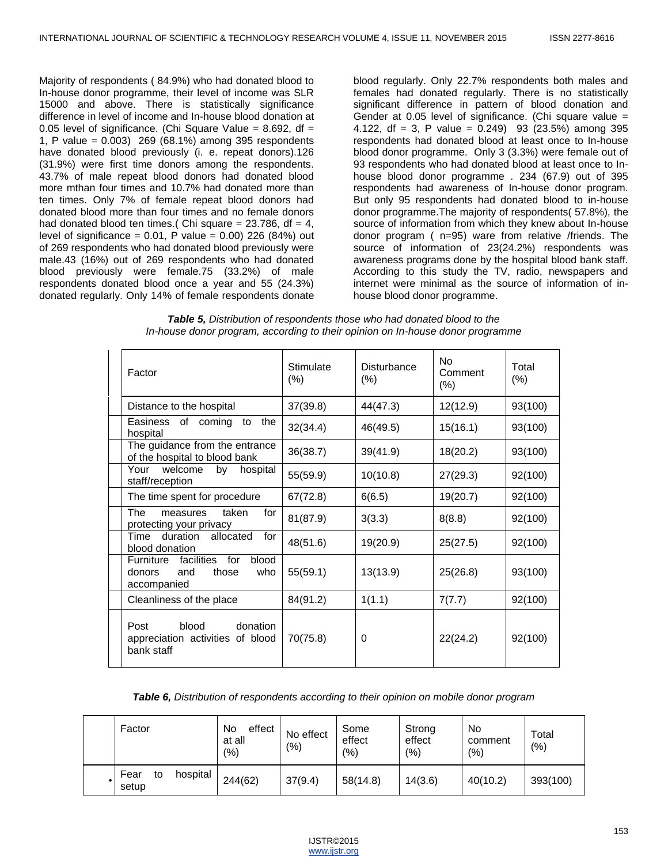Majority of respondents ( 84.9%) who had donated blood to In-house donor programme, their level of income was SLR 15000 and above. There is statistically significance difference in level of income and In-house blood donation at 0.05 level of significance. (Chi Square Value =  $8.692$ , df = 1, P value = 0.003) 269 (68.1%) among 395 respondents have donated blood previously (i. e. repeat donors).126 (31.9%) were first time donors among the respondents. 43.7% of male repeat blood donors had donated blood more mthan four times and 10.7% had donated more than ten times. Only 7% of female repeat blood donors had donated blood more than four times and no female donors had donated blood ten times.( Chi square =  $23.786$ , df =  $4$ , level of significance =  $0.01$ , P value =  $0.00$ ) 226 (84%) out of 269 respondents who had donated blood previously were male.43 (16%) out of 269 respondents who had donated blood previously were female.75 (33.2%) of male respondents donated blood once a year and 55 (24.3%) donated regularly. Only 14% of female respondents donate

blood regularly. Only 22.7% respondents both males and females had donated regularly. There is no statistically significant difference in pattern of blood donation and Gender at 0.05 level of significance. (Chi square value = 4.122, df = 3, P value =  $0.249$ ) 93 (23.5%) among 395 respondents had donated blood at least once to In-house blood donor programme. Only 3 (3.3%) were female out of 93 respondents who had donated blood at least once to Inhouse blood donor programme . 234 (67.9) out of 395 respondents had awareness of In-house donor program. But only 95 respondents had donated blood to in-house donor programme.The majority of respondents( 57.8%), the source of information from which they knew about In-house donor program ( n=95) ware from relative /friends. The source of information of 23(24.2%) respondents was awareness programs done by the hospital blood bank staff. According to this study the TV, radio, newspapers and internet were minimal as the source of information of inhouse blood donor programme.

| Table 5, Distribution of respondents those who had donated blood to the        |
|--------------------------------------------------------------------------------|
| In-house donor program, according to their opinion on In-house donor programme |

| Factor                                                                                  | Stimulate<br>$(\%)$ | Disturbance<br>$(\%)$ | No<br>Comment<br>$(\% )$ | Total<br>(%) |
|-----------------------------------------------------------------------------------------|---------------------|-----------------------|--------------------------|--------------|
| Distance to the hospital                                                                | 37(39.8)            | 44(47.3)              | 12(12.9)                 | 93(100)      |
| Easiness<br>of coming<br>the<br>to<br>hospital                                          | 32(34.4)            | 46(49.5)              | 15(16.1)                 | 93(100)      |
| The guidance from the entrance<br>of the hospital to blood bank                         | 36(38.7)            | 39(41.9)              | 18(20.2)                 | 93(100)      |
| Your<br>welcome<br>by<br>hospital<br>staff/reception                                    | 55(59.9)            | 10(10.8)              | 27(29.3)                 | 92(100)      |
| The time spent for procedure                                                            | 67(72.8)            | 6(6.5)                | 19(20.7)                 | 92(100)      |
| The<br>taken<br>for<br>measures<br>protecting your privacy                              | 81(87.9)            | 3(3.3)                | 8(8.8)                   | 92(100)      |
| duration<br>Time<br>allocated<br>for<br>blood donation                                  | 48(51.6)            | 19(20.9)              | 25(27.5)                 | 92(100)      |
| blood<br>for<br>facilities<br>Furniture<br>and<br>those<br>who<br>donors<br>accompanied | 55(59.1)            | 13(13.9)              | 25(26.8)                 | 93(100)      |
| Cleanliness of the place                                                                | 84(91.2)            | 1(1.1)                | 7(7.7)                   | 92(100)      |
| blood<br>donation<br>Post<br>appreciation activities of blood<br>bank staff             | 70(75.8)            | 0                     | 22(24.2)                 | 92(100)      |

| Table 6, Distribution of respondents according to their opinion on mobile donor program |  |  |  |
|-----------------------------------------------------------------------------------------|--|--|--|
|                                                                                         |  |  |  |

| Factor                          | No<br>effect<br>at all<br>(%) | No effect<br>(9/0) | Some<br>effect<br>$(\% )$ | Strong<br>effect<br>(%) | No<br>comment<br>(9/0) | Total<br>(%) |
|---------------------------------|-------------------------------|--------------------|---------------------------|-------------------------|------------------------|--------------|
| Fear<br>hospital<br>to<br>setup | 244(62)                       | 37(9.4)            | 58(14.8)                  | 14(3.6)                 | 40(10.2)               | 393(100)     |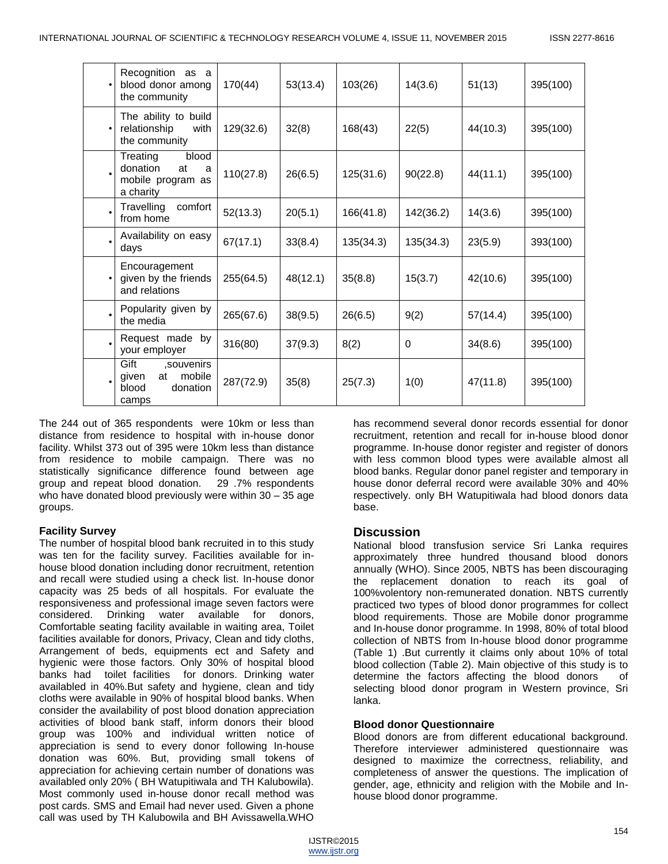| Recognition<br>as a<br>blood donor among<br>the community                  | 170(44)   | 53(13.4) | 103(26)   | 14(3.6)   | 51(13)   | 395(100) |
|----------------------------------------------------------------------------|-----------|----------|-----------|-----------|----------|----------|
| The ability to build<br>relationship<br>with<br>the community              | 129(32.6) | 32(8)    | 168(43)   | 22(5)     | 44(10.3) | 395(100) |
| Treating<br>blood<br>donation<br>at<br>a<br>mobile program as<br>a charity | 110(27.8) | 26(6.5)  | 125(31.6) | 90(22.8)  | 44(11.1) | 395(100) |
| Travelling<br>comfort<br>from home                                         | 52(13.3)  | 20(5.1)  | 166(41.8) | 142(36.2) | 14(3.6)  | 395(100) |
| Availability on easy<br>days                                               | 67(17.1)  | 33(8.4)  | 135(34.3) | 135(34.3) | 23(5.9)  | 393(100) |
| Encouragement<br>given by the friends<br>and relations                     | 255(64.5) | 48(12.1) | 35(8.8)   | 15(3.7)   | 42(10.6) | 395(100) |
| Popularity given by<br>the media                                           | 265(67.6) | 38(9.5)  | 26(6.5)   | 9(2)      | 57(14.4) | 395(100) |
| Request made by<br>your employer                                           | 316(80)   | 37(9.3)  | 8(2)      | 0         | 34(8.6)  | 395(100) |
| Gift<br>souvenirs,<br>mobile<br>given<br>at<br>blood<br>donation<br>camps  | 287(72.9) | 35(8)    | 25(7.3)   | 1(0)      | 47(11.8) | 395(100) |

The 244 out of 365 respondents were 10km or less than distance from residence to hospital with in-house donor facility. Whilst 373 out of 395 were 10km less than distance from residence to mobile campaign. There was no statistically significance difference found between age group and repeat blood donation. 29 .7% respondents who have donated blood previously were within 30 – 35 age groups.

# **Facility Survey**

The number of hospital blood bank recruited in to this study was ten for the facility survey. Facilities available for inhouse blood donation including donor recruitment, retention and recall were studied using a check list. In-house donor capacity was 25 beds of all hospitals. For evaluate the responsiveness and professional image seven factors were considered. Drinking water available for donors, Comfortable seating facility available in waiting area, Toilet facilities available for donors, Privacy, Clean and tidy cloths, Arrangement of beds, equipments ect and Safety and hygienic were those factors. Only 30% of hospital blood banks had toilet facilities for donors. Drinking water availabled in 40%.But safety and hygiene, clean and tidy cloths were available in 90% of hospital blood banks. When consider the availability of post blood donation appreciation activities of blood bank staff, inform donors their blood group was 100% and individual written notice of appreciation is send to every donor following In-house donation was 60%. But, providing small tokens of appreciation for achieving certain number of donations was availabled only 20% ( BH Watupitiwala and TH Kalubowila). Most commonly used in-house donor recall method was post cards. SMS and Email had never used. Given a phone call was used by TH Kalubowila and BH Avissawella.WHO

has recommend several donor records essential for donor recruitment, retention and recall for in-house blood donor programme. In-house donor register and register of donors with less common blood types were available almost all blood banks. Regular donor panel register and temporary in house donor deferral record were available 30% and 40% respectively. only BH Watupitiwala had blood donors data base.

# **Discussion**

National blood transfusion service Sri Lanka requires approximately three hundred thousand blood donors annually (WHO). Since 2005, NBTS has been discouraging the replacement donation to reach its goal of 100%volentory non-remunerated donation. NBTS currently practiced two types of blood donor programmes for collect blood requirements. Those are Mobile donor programme and In-house donor programme. In 1998, 80% of total blood collection of NBTS from In-house blood donor programme (Table 1) .But currently it claims only about 10% of total blood collection (Table 2). Main objective of this study is to determine the factors affecting the blood donors of selecting blood donor program in Western province, Sri lanka.

# **Blood donor Questionnaire**

Blood donors are from different educational background. Therefore interviewer administered questionnaire was designed to maximize the correctness, reliability, and completeness of answer the questions. The implication of gender, age, ethnicity and religion with the Mobile and Inhouse blood donor programme.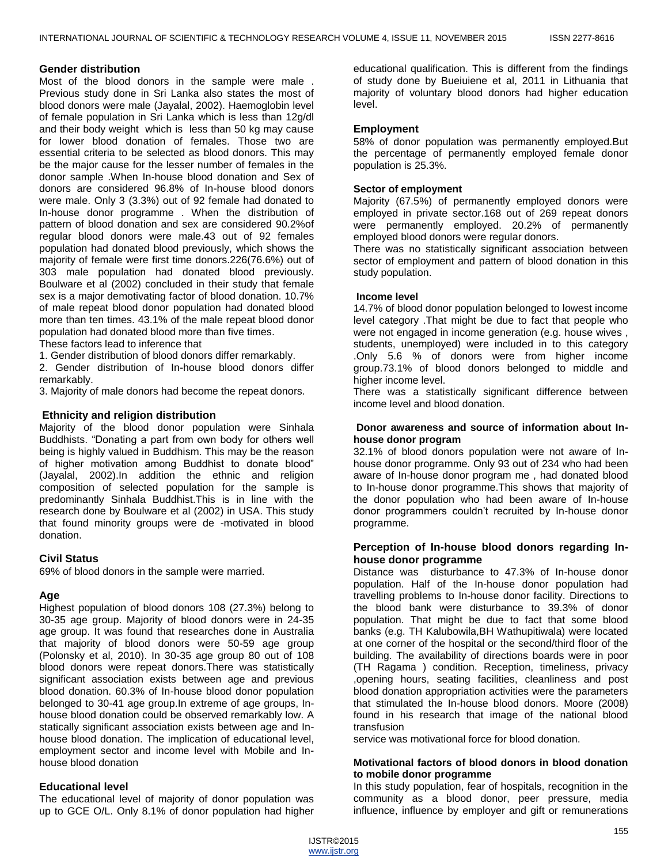## **Gender distribution**

Most of the blood donors in the sample were male . Previous study done in Sri Lanka also states the most of blood donors were male (Jayalal, 2002). Haemoglobin level of female population in Sri Lanka which is less than 12g/dl and their body weight which is less than 50 kg may cause for lower blood donation of females. Those two are essential criteria to be selected as blood donors. This may be the major cause for the lesser number of females in the donor sample .When In-house blood donation and Sex of donors are considered 96.8% of In-house blood donors were male. Only 3 (3.3%) out of 92 female had donated to In-house donor programme . When the distribution of pattern of blood donation and sex are considered 90.2%of regular blood donors were male.43 out of 92 females population had donated blood previously, which shows the majority of female were first time donors.226(76.6%) out of 303 male population had donated blood previously. Boulware et al (2002) concluded in their study that female sex is a major demotivating factor of blood donation. 10.7% of male repeat blood donor population had donated blood more than ten times. 43.1% of the male repeat blood donor population had donated blood more than five times.

These factors lead to inference that

1. Gender distribution of blood donors differ remarkably.

2. Gender distribution of In-house blood donors differ remarkably.

3. Majority of male donors had become the repeat donors.

## **Ethnicity and religion distribution**

Majority of the blood donor population were Sinhala Buddhists. "Donating a part from own body for others well being is highly valued in Buddhism. This may be the reason of higher motivation among Buddhist to donate blood" (Jayalal, 2002).In addition the ethnic and religion composition of selected population for the sample is predominantly Sinhala Buddhist.This is in line with the research done by Boulware et al (2002) in USA. This study that found minority groups were de -motivated in blood donation.

# **Civil Status**

69% of blood donors in the sample were married.

# **Age**

Highest population of blood donors 108 (27.3%) belong to 30-35 age group. Majority of blood donors were in 24-35 age group. It was found that researches done in Australia that majority of blood donors were 50-59 age group (Polonsky et al, 2010). In 30-35 age group 80 out of 108 blood donors were repeat donors.There was statistically significant association exists between age and previous blood donation. 60.3% of In-house blood donor population belonged to 30-41 age group.In extreme of age groups, Inhouse blood donation could be observed remarkably low. A statically significant association exists between age and Inhouse blood donation. The implication of educational level, employment sector and income level with Mobile and Inhouse blood donation

# **Educational level**

The educational level of majority of donor population was up to GCE O/L. Only 8.1% of donor population had higher educational qualification. This is different from the findings of study done by Bueiuiene et al, 2011 in Lithuania that majority of voluntary blood donors had higher education level.

# **Employment**

58% of donor population was permanently employed.But the percentage of permanently employed female donor population is 25.3%.

# **Sector of employment**

Majority (67.5%) of permanently employed donors were employed in private sector.168 out of 269 repeat donors were permanently employed. 20.2% of permanently employed blood donors were regular donors.

There was no statistically significant association between sector of employment and pattern of blood donation in this study population.

## **Income level**

14.7% of blood donor population belonged to lowest income level category .That might be due to fact that people who were not engaged in income generation (e.g. house wives , students, unemployed) were included in to this category .Only 5.6 % of donors were from higher income group.73.1% of blood donors belonged to middle and higher income level.

There was a statistically significant difference between income level and blood donation.

#### **Donor awareness and source of information about Inhouse donor program**

32.1% of blood donors population were not aware of Inhouse donor programme. Only 93 out of 234 who had been aware of In-house donor program me , had donated blood to In-house donor programme.This shows that majority of the donor population who had been aware of In-house donor programmers couldn't recruited by In-house donor programme.

## **Perception of In-house blood donors regarding Inhouse donor programme**

Distance was disturbance to 47.3% of In-house donor population. Half of the In-house donor population had travelling problems to In-house donor facility. Directions to the blood bank were disturbance to 39.3% of donor population. That might be due to fact that some blood banks (e.g. TH Kalubowila,BH Wathupitiwala) were located at one corner of the hospital or the second/third floor of the building. The availability of directions boards were in poor (TH Ragama ) condition. Reception, timeliness, privacy ,opening hours, seating facilities, cleanliness and post blood donation appropriation activities were the parameters that stimulated the In-house blood donors. Moore (2008) found in his research that image of the national blood transfusion

service was motivational force for blood donation.

## **Motivational factors of blood donors in blood donation to mobile donor programme**

In this study population, fear of hospitals, recognition in the community as a blood donor, peer pressure, media influence, influence by employer and gift or remunerations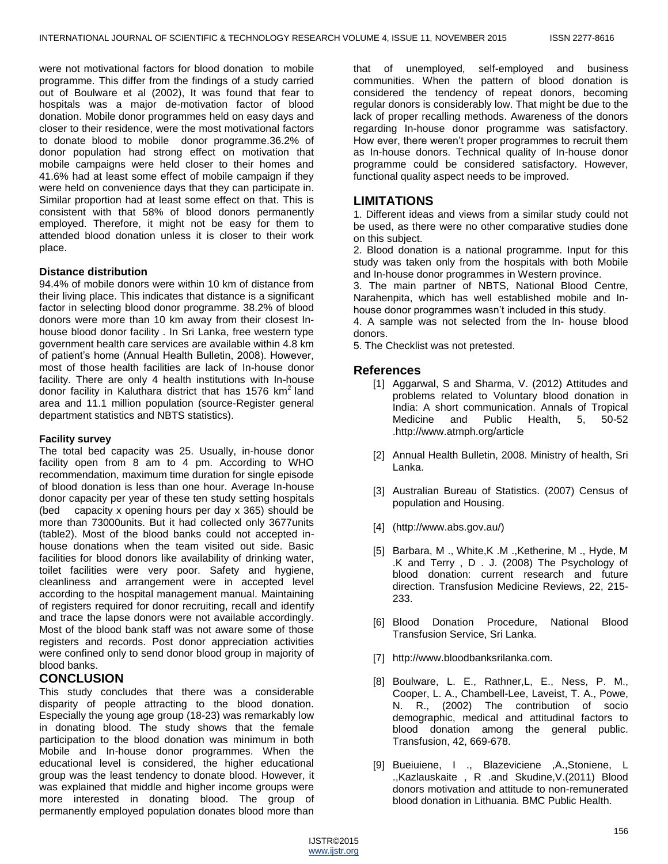were not motivational factors for blood donation to mobile programme. This differ from the findings of a study carried out of Boulware et al (2002), It was found that fear to hospitals was a major de-motivation factor of blood donation. Mobile donor programmes held on easy days and closer to their residence, were the most motivational factors to donate blood to mobile donor programme.36.2% of donor population had strong effect on motivation that mobile campaigns were held closer to their homes and 41.6% had at least some effect of mobile campaign if they were held on convenience days that they can participate in. Similar proportion had at least some effect on that. This is consistent with that 58% of blood donors permanently employed. Therefore, it might not be easy for them to attended blood donation unless it is closer to their work place.

# **Distance distribution**

94.4% of mobile donors were within 10 km of distance from their living place. This indicates that distance is a significant factor in selecting blood donor programme. 38.2% of blood donors were more than 10 km away from their closest Inhouse blood donor facility . In Sri Lanka, free western type government health care services are available within 4.8 km of patient's home (Annual Health Bulletin, 2008). However, most of those health facilities are lack of In-house donor facility. There are only 4 health institutions with In-house donor facility in Kaluthara district that has  $1576 \text{ km}^2$  land area and 11.1 million population (source-Register general department statistics and NBTS statistics).

#### **Facility survey**

The total bed capacity was 25. Usually, in-house donor facility open from 8 am to 4 pm. According to WHO recommendation, maximum time duration for single episode of blood donation is less than one hour. Average In-house donor capacity per year of these ten study setting hospitals (bed capacity x opening hours per day x 365) should be more than 73000units. But it had collected only 3677units (table2). Most of the blood banks could not accepted inhouse donations when the team visited out side. Basic facilities for blood donors like availability of drinking water, toilet facilities were very poor. Safety and hygiene, cleanliness and arrangement were in accepted level according to the hospital management manual. Maintaining of registers required for donor recruiting, recall and identify and trace the lapse donors were not available accordingly. Most of the blood bank staff was not aware some of those registers and records. Post donor appreciation activities were confined only to send donor blood group in majority of blood banks.

# **CONCLUSION**

This study concludes that there was a considerable disparity of people attracting to the blood donation. Especially the young age group (18-23) was remarkably low in donating blood. The study shows that the female participation to the blood donation was minimum in both Mobile and In-house donor programmes. When the educational level is considered, the higher educational group was the least tendency to donate blood. However, it was explained that middle and higher income groups were more interested in donating blood. The group of permanently employed population donates blood more than

that of unemployed, self-employed and business communities. When the pattern of blood donation is considered the tendency of repeat donors, becoming regular donors is considerably low. That might be due to the lack of proper recalling methods. Awareness of the donors regarding In-house donor programme was satisfactory. How ever, there weren't proper programmes to recruit them as In-house donors. Technical quality of In-house donor programme could be considered satisfactory. However, functional quality aspect needs to be improved.

# **LIMITATIONS**

1. Different ideas and views from a similar study could not be used, as there were no other comparative studies done on this subject.

2. Blood donation is a national programme. Input for this study was taken only from the hospitals with both Mobile and In-house donor programmes in Western province.

3. The main partner of NBTS, National Blood Centre, Narahenpita, which has well established mobile and Inhouse donor programmes wasn't included in this study.

4. A sample was not selected from the In- house blood donors.

5. The Checklist was not pretested.

# **References**

- [1] Aggarwal, S and Sharma, V. (2012) Attitudes and problems related to Voluntary blood donation in India: A short communication. Annals of Tropical Medicine and Public Health, 5, 50-52 [.http://www.atmph.org/article](http://www.atmph.org/article)
- [2] Annual Health Bulletin, 2008. Ministry of health, Sri Lanka.
- [3] Australian Bureau of Statistics. (2007) Census of population and Housing.
- [4] [\(http://www.abs.gov.au/\)]((http:/www.abs.gov.au/))
- [5] Barbara, M., White,K.M., Ketherine, M., Hyde, M. .K and Terry , D . J. (2008) The Psychology of blood donation: current research and future direction. Transfusion Medicine Reviews, 22, 215- 233.
- [6] Blood Donation Procedure, National Blood Transfusion Service, Sri Lanka.
- [7] [http://www.bloodbanksrilanka.com.](http://www.bloodbanksrilanka.com/)
- [8] Boulware, L. E., Rathner,L, E., Ness, P. M., Cooper, L. A., Chambell-Lee, Laveist, T. A., Powe, N. R., (2002) The contribution of socio demographic, medical and attitudinal factors to blood donation among the general public. Transfusion, 42, 669-678.
- [9] Bueiuiene, I ., Blazeviciene ,A.,Stoniene, L .,Kazlauskaite , R .and Skudine,V.(2011) Blood donors motivation and attitude to non-remunerated blood donation in Lithuania. BMC Public Health.